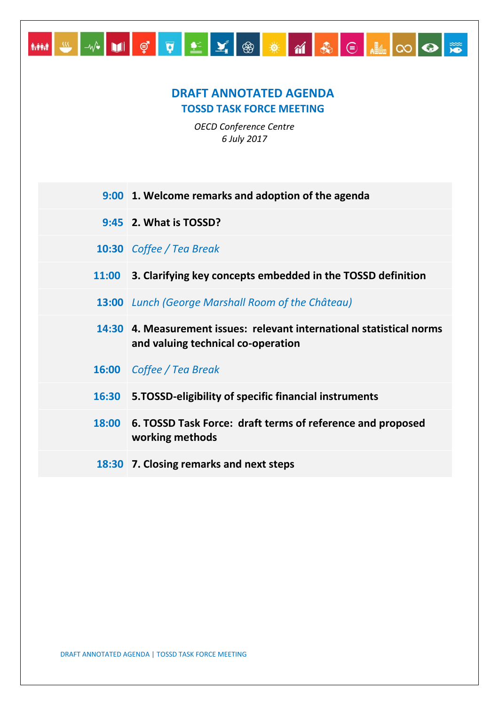## **DRAFT ANNOTATED AGENDA TOSSD TASK FORCE MEETING**

MM W W DI Ç Q <u>L</u> Y ® **X M &** E HIO O <del>X</del>

*OECD Conference Centre 6 July 2017*

|              | 9:00 1. Welcome remarks and adoption of the agenda                                                          |
|--------------|-------------------------------------------------------------------------------------------------------------|
|              | 9:45 2. What is TOSSD?                                                                                      |
|              | <b>10:30</b> Coffee / Tea Break                                                                             |
| <b>11:00</b> | 3. Clarifying key concepts embedded in the TOSSD definition                                                 |
|              | 13:00 Lunch (George Marshall Room of the Château)                                                           |
|              | 14:30 4. Measurement issues: relevant international statistical norms<br>and valuing technical co-operation |
|              | <b>16:00</b> Coffee / Tea Break                                                                             |
| 16:30        | 5.TOSSD-eligibility of specific financial instruments                                                       |
| 18:00        | 6. TOSSD Task Force: draft terms of reference and proposed<br>working methods                               |
|              | 18:30 7. Closing remarks and next steps                                                                     |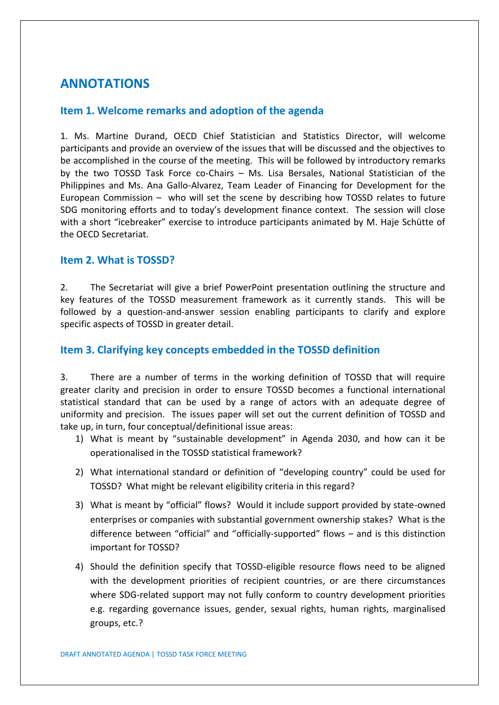# **ANNOTATIONS**

#### **Item 1. Welcome remarks and adoption of the agenda**

1. Ms. Martine Durand, OECD Chief Statistician and Statistics Director, will welcome participants and provide an overview of the issues that will be discussed and the objectives to be accomplished in the course of the meeting. This will be followed by introductory remarks by the two TOSSD Task Force co-Chairs – Ms. Lisa Bersales, National Statistician of the Philippines and Ms. Ana Gallo-Alvarez, Team Leader of Financing for Development for the European Commission – who will set the scene by describing how TOSSD relates to future SDG monitoring efforts and to today's development finance context. The session will close with a short "icebreaker" exercise to introduce participants animated by M. Haje Schütte of the OECD Secretariat.

#### **Item 2. What is TOSSD?**

2. The Secretariat will give a brief PowerPoint presentation outlining the structure and key features of the TOSSD measurement framework as it currently stands. This will be followed by a question-and-answer session enabling participants to clarify and explore specific aspects of TOSSD in greater detail.

#### **Item 3. Clarifying key concepts embedded in the TOSSD definition**

3. There are a number of terms in the working definition of TOSSD that will require greater clarity and precision in order to ensure TOSSD becomes a functional international statistical standard that can be used by a range of actors with an adequate degree of uniformity and precision. The issues paper will set out the current definition of TOSSD and take up, in turn, four conceptual/definitional issue areas:

- 1) What is meant by "sustainable development" in Agenda 2030, and how can it be operationalised in the TOSSD statistical framework?
- 2) What international standard or definition of "developing country" could be used for TOSSD? What might be relevant eligibility criteria in this regard?
- 3) What is meant by "official" flows? Would it include support provided by state-owned enterprises or companies with substantial government ownership stakes? What is the difference between "official" and "officially-supported" flows – and is this distinction important for TOSSD?
- 4) Should the definition specify that TOSSD-eligible resource flows need to be aligned with the development priorities of recipient countries, or are there circumstances where SDG-related support may not fully conform to country development priorities e.g. regarding governance issues, gender, sexual rights, human rights, marginalised groups, etc.?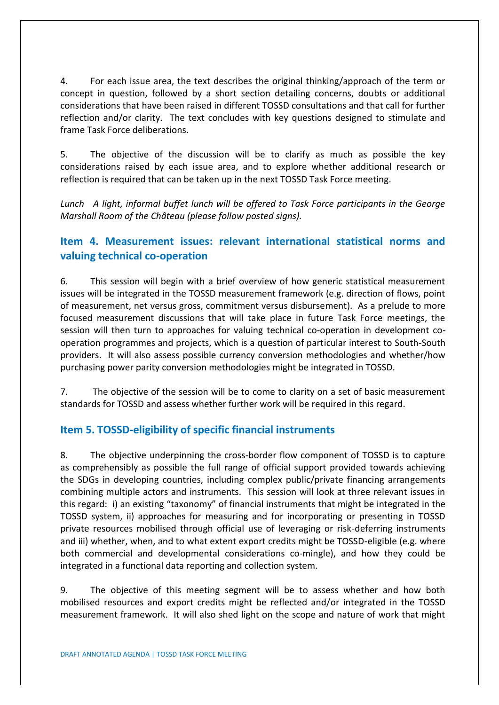4. For each issue area, the text describes the original thinking/approach of the term or concept in question, followed by a short section detailing concerns, doubts or additional considerations that have been raised in different TOSSD consultations and that call for further reflection and/or clarity. The text concludes with key questions designed to stimulate and frame Task Force deliberations.

5. The objective of the discussion will be to clarify as much as possible the key considerations raised by each issue area, and to explore whether additional research or reflection is required that can be taken up in the next TOSSD Task Force meeting.

*Lunch A light, informal buffet lunch will be offered to Task Force participants in the George Marshall Room of the Château (please follow posted signs).* 

## **Item 4. Measurement issues: relevant international statistical norms and valuing technical co-operation**

6. This session will begin with a brief overview of how generic statistical measurement issues will be integrated in the TOSSD measurement framework (e.g. direction of flows, point of measurement, net versus gross, commitment versus disbursement). As a prelude to more focused measurement discussions that will take place in future Task Force meetings, the session will then turn to approaches for valuing technical co-operation in development cooperation programmes and projects, which is a question of particular interest to South-South providers. It will also assess possible currency conversion methodologies and whether/how purchasing power parity conversion methodologies might be integrated in TOSSD.

7. The objective of the session will be to come to clarity on a set of basic measurement standards for TOSSD and assess whether further work will be required in this regard.

#### **Item 5. TOSSD-eligibility of specific financial instruments**

8. The objective underpinning the cross-border flow component of TOSSD is to capture as comprehensibly as possible the full range of official support provided towards achieving the SDGs in developing countries, including complex public/private financing arrangements combining multiple actors and instruments. This session will look at three relevant issues in this regard: i) an existing "taxonomy" of financial instruments that might be integrated in the TOSSD system, ii) approaches for measuring and for incorporating or presenting in TOSSD private resources mobilised through official use of leveraging or risk-deferring instruments and iii) whether, when, and to what extent export credits might be TOSSD-eligible (e.g. where both commercial and developmental considerations co-mingle), and how they could be integrated in a functional data reporting and collection system.

9. The objective of this meeting segment will be to assess whether and how both mobilised resources and export credits might be reflected and/or integrated in the TOSSD measurement framework. It will also shed light on the scope and nature of work that might